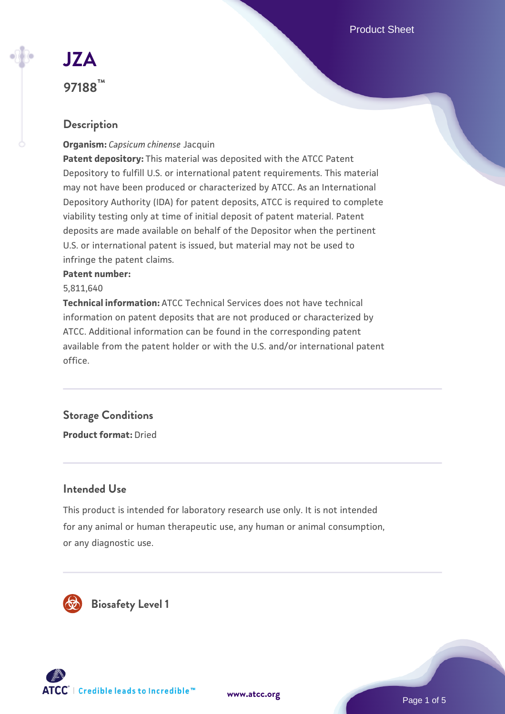Product Sheet

# **[JZA](https://www.atcc.org/products/97188) 97188™**

# **Description**

#### **Organism:** *Capsicum chinense* Jacquin

**Patent depository:** This material was deposited with the ATCC Patent Depository to fulfill U.S. or international patent requirements. This material may not have been produced or characterized by ATCC. As an International Depository Authority (IDA) for patent deposits, ATCC is required to complete viability testing only at time of initial deposit of patent material. Patent deposits are made available on behalf of the Depositor when the pertinent U.S. or international patent is issued, but material may not be used to infringe the patent claims.

#### **Patent number:**

#### 5,811,640

**Technical information:** ATCC Technical Services does not have technical information on patent deposits that are not produced or characterized by ATCC. Additional information can be found in the corresponding patent available from the patent holder or with the U.S. and/or international patent office.

# **Storage Conditions**

**Product format:** Dried

# **Intended Use**

This product is intended for laboratory research use only. It is not intended for any animal or human therapeutic use, any human or animal consumption, or any diagnostic use.





Page 1 of 5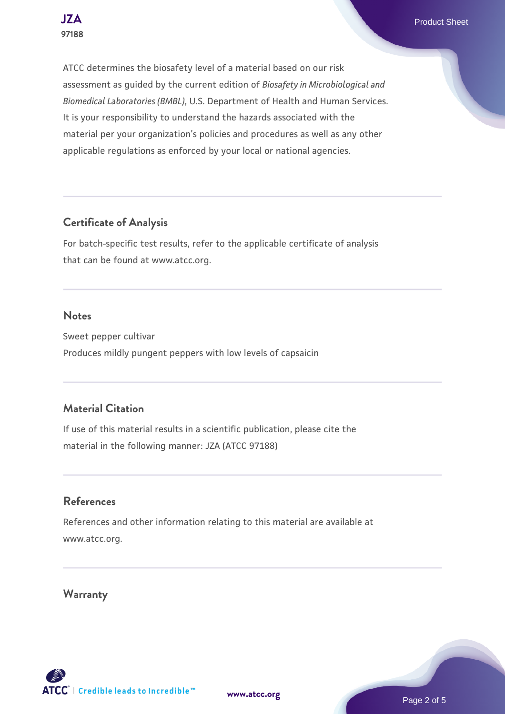**[JZA](https://www.atcc.org/products/97188)** Product Sheet

ATCC determines the biosafety level of a material based on our risk assessment as guided by the current edition of *Biosafety in Microbiological and Biomedical Laboratories (BMBL)*, U.S. Department of Health and Human Services. It is your responsibility to understand the hazards associated with the material per your organization's policies and procedures as well as any other applicable regulations as enforced by your local or national agencies.

# **Certificate of Analysis**

For batch-specific test results, refer to the applicable certificate of analysis that can be found at www.atcc.org.

#### **Notes**

Sweet pepper cultivar Produces mildly pungent peppers with low levels of capsaicin

# **Material Citation**

If use of this material results in a scientific publication, please cite the material in the following manner: JZA (ATCC 97188)

# **References**

References and other information relating to this material are available at www.atcc.org.

# **Warranty**

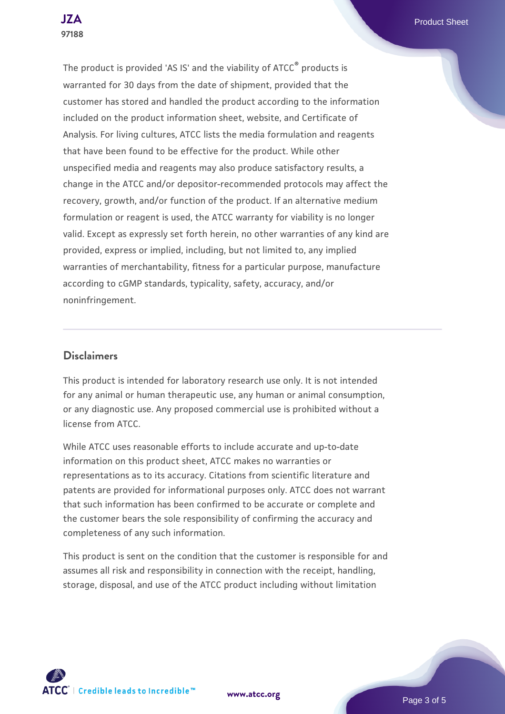**[JZA](https://www.atcc.org/products/97188)** Product Sheet

The product is provided 'AS IS' and the viability of ATCC® products is warranted for 30 days from the date of shipment, provided that the customer has stored and handled the product according to the information included on the product information sheet, website, and Certificate of Analysis. For living cultures, ATCC lists the media formulation and reagents that have been found to be effective for the product. While other unspecified media and reagents may also produce satisfactory results, a change in the ATCC and/or depositor-recommended protocols may affect the recovery, growth, and/or function of the product. If an alternative medium formulation or reagent is used, the ATCC warranty for viability is no longer valid. Except as expressly set forth herein, no other warranties of any kind are provided, express or implied, including, but not limited to, any implied warranties of merchantability, fitness for a particular purpose, manufacture according to cGMP standards, typicality, safety, accuracy, and/or noninfringement.

#### **Disclaimers**

This product is intended for laboratory research use only. It is not intended for any animal or human therapeutic use, any human or animal consumption, or any diagnostic use. Any proposed commercial use is prohibited without a license from ATCC.

While ATCC uses reasonable efforts to include accurate and up-to-date information on this product sheet, ATCC makes no warranties or representations as to its accuracy. Citations from scientific literature and patents are provided for informational purposes only. ATCC does not warrant that such information has been confirmed to be accurate or complete and the customer bears the sole responsibility of confirming the accuracy and completeness of any such information.

This product is sent on the condition that the customer is responsible for and assumes all risk and responsibility in connection with the receipt, handling, storage, disposal, and use of the ATCC product including without limitation

**[www.atcc.org](http://www.atcc.org)**

Page 3 of 5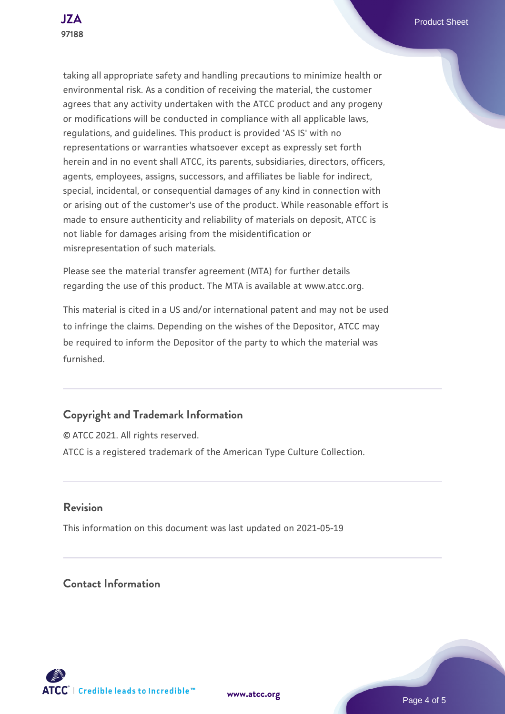taking all appropriate safety and handling precautions to minimize health or environmental risk. As a condition of receiving the material, the customer agrees that any activity undertaken with the ATCC product and any progeny or modifications will be conducted in compliance with all applicable laws, regulations, and guidelines. This product is provided 'AS IS' with no representations or warranties whatsoever except as expressly set forth herein and in no event shall ATCC, its parents, subsidiaries, directors, officers, agents, employees, assigns, successors, and affiliates be liable for indirect, special, incidental, or consequential damages of any kind in connection with or arising out of the customer's use of the product. While reasonable effort is made to ensure authenticity and reliability of materials on deposit, ATCC is not liable for damages arising from the misidentification or misrepresentation of such materials.

Please see the material transfer agreement (MTA) for further details regarding the use of this product. The MTA is available at www.atcc.org.

This material is cited in a US and/or international patent and may not be used to infringe the claims. Depending on the wishes of the Depositor, ATCC may be required to inform the Depositor of the party to which the material was furnished.

# **Copyright and Trademark Information**

© ATCC 2021. All rights reserved. ATCC is a registered trademark of the American Type Culture Collection.

# **Revision**

This information on this document was last updated on 2021-05-19

**Contact Information**